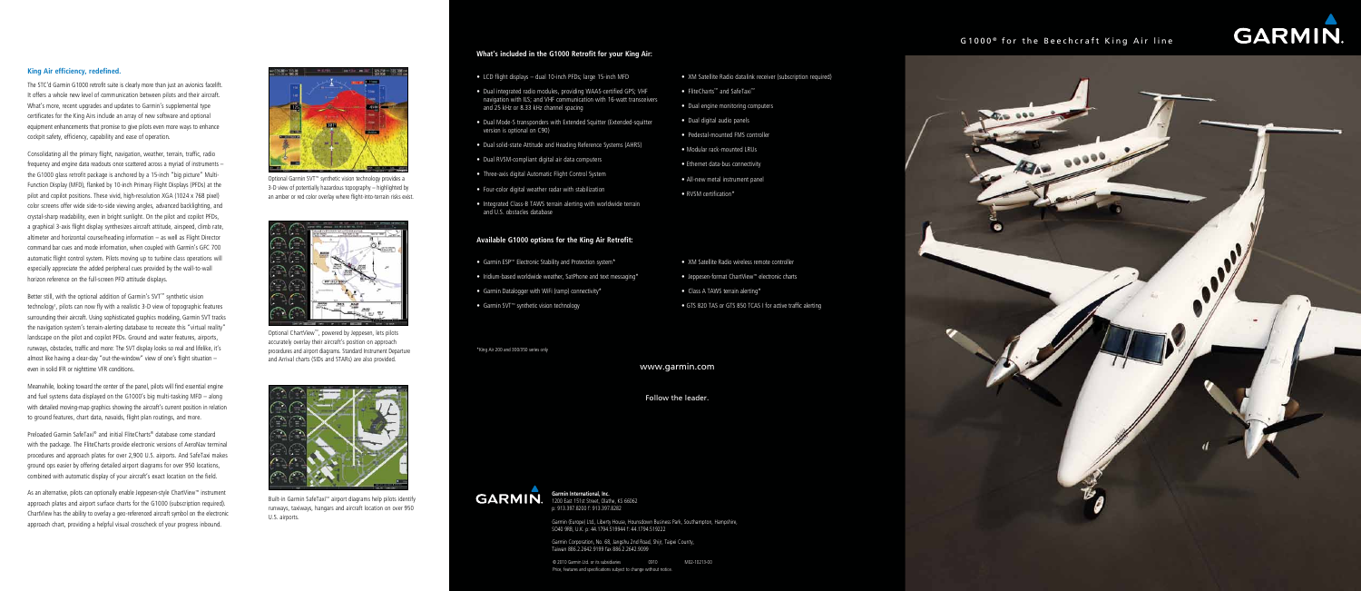**Garmin International, Inc.**  1200 East 151st Street, Olathe, KS 66062 p: 913.397.8200 f: 913.397.8282

Garmin (Europe) Ltd., Liberty House, Hounsdown Business Park, Southampton, Hampshire, SO40 9RB, U.K. p: 44.1794.519944 f: 44.1794.519222

Garmin Corporation, No. 68, Jangshu 2nd Road, Shijr, Taipei County, Taiwan 886.2.2642.9199 fax 886.2.2642.9099

# **What's included in the G1000 Retrofit for your King Air:**

- LCD flight displays dual 10-inch PFDs; large 15-inch MFD
- Dual integrated radio modules, providing WAAS-certified GPS; VHF navigation with ILS; and VHF communication with 16-watt transceivers and 25 kHz or 8.33 kHz channel spacing
- Dual Mode-S transponders with Extended Squitter (Extended-squitter version is optional on C90)
- Dual solid-state Attitude and Heading Reference Systems (AHRS)
- Dual RVSM-compliant digital air data computers
- Three-axis digital Automatic Flight Control System
- Four-color digital weather radar with stabilization
- Integrated Class-B TAWS terrain alerting with worldwide terrain and U.S. obstacles database
- XM Satellite Radio datalink receiver (subscription required)
- • FliteCharts™ and SafeTaxi™
- Dual engine monitoring computers
- • Dual digital audio panels
- Pedestal-mounted FMS controller
- Modular rack-mounted LRUs
- Ethernet data-bus connectivity
- All-new metal instrument panel
- RVSM certification\*

- XM Satellite Radio wireless remote controller
- • Jeppesen-format ChartView™ electronic charts
- Class A TAWS terrain alerting\*
- GTS 820 TAS or GTS 850 TCAS I for active traffic alerting

#### **Available G1000 options for the King Air Retrofit:**

- • Garmin ESP™ Electronic Stability and Protection system\*
- Iridium-based worldwide weather, SatPhone and text messaging\*
- Garmin Datalogger with WiFi (ramp) connectivity\*
- • Garmin SVT™ synthetic vision technology

www.garmin.com

Follow the leader.



# **King Air efficiency, redefined.**

The STC'd Garmin G1000 retrofit suite is clearly more than just an avionics facelift. It offers a whole new level of communication between pilots and their aircraft. What's more, recent upgrades and updates to Garmin's supplemental type certificates for the King Airs include an array of new software and optional equipment enhancements that promise to give pilots even more ways to enhance cockpit safety, efficiency, capability and ease of operation.

Consolidating all the primary flight, navigation, weather, terrain, traffic, radio frequency and engine data readouts once scattered across a myriad of instruments – the G1000 glass retrofit package is anchored by a 15-inch "big picture" Multi-Function Display (MFD), flanked by 10-inch Primary Flight Displays (PFDs) at the pilot and copilot positions. These vivid, high-resolution XGA (1024 x 768 pixel) color screens offer wide side-to-side viewing angles, advanced backlighting, and crystal-sharp readability, even in bright sunlight. On the pilot and copilot PFDs, a graphical 3-axis flight display synthesizes aircraft attitude, airspeed, climb rate, altimeter and horizontal course/heading information – as well as Flight Director command bar cues and mode information, when coupled with Garmin's GFC 700 automatic flight control system. Pilots moving up to turbine class operations will especially appreciate the added peripheral cues provided by the wall-to-wall horizon reference on the full-screen PFD attitude displays.

> © 2010 Garmin Ltd. or its subsidiaries 0910 M02-10213-00 Price, features and specifications subject to change without notice.

# $G1000$ <sup>®</sup> for the Beechcraft King Air line



Better still, with the optional addition of Garmin's SVT™ synthetic vision technology<sup>1</sup>, pilots can now fly with a realistic 3-D view of topographic features surrounding their aircraft. Using sophisticated graphics modeling, Garmin SVT tracks the navigation system's terrain-alerting database to recreate this "virtual reality" landscape on the pilot and copilot PFDs. Ground and water features, airports, runways, obstacles, traffic and more: The SVT display looks so real and lifelike, it's almost like having a clear-day "out-the-window" view of one's flight situation – even in solid IFR or nighttime VFR conditions.

Meanwhile, looking toward the center of the panel, pilots will find essential engine and fuel systems data displayed on the G1000's big multi-tasking MFD – along with detailed moving-map graphics showing the aircraft's current position in relation to ground features, chart data, navaids, flight plan routings, and more.

Preloaded Garmin SafeTaxi® and initial FliteCharts® database come standard with the package. The FliteCharts provide electronic versions of AeroNav terminal procedures and approach plates for over 2,900 U.S. airports. And SafeTaxi makes ground ops easier by offering detailed airport diagrams for over 950 locations, combined with automatic display of your aircraft's exact location on the field.

As an alternative, pilots can optionally enable Jeppesen-style ChartView™ instrument approach plates and airport surface charts for the G1000 (subscription required). ChartView has the ability to overlay a geo-referenced aircraft symbol on the electronic approach chart, providing a helpful visual crosscheck of your progress inbound.



Optional Garmin SVT™ synthetic vision technology provides a 3-D view of potentially hazardous topography – highlighted by an amber or red color overlay where flight-into-terrain risks exist.



Optional ChartView™, powered by Jeppesen, lets pilots accurately overlay their aircraft's position on approach procedures and airport diagrams. Standard Instrument Departure and Arrival charts (SIDs and STARs) are also provided.



Built-in Garmin SafeTaxi™ airport diagrams help pilots identify runways, taxiways, hangars and aircraft location on over 950 U.S. airports.

\*King Air 200 and 300/350 series only